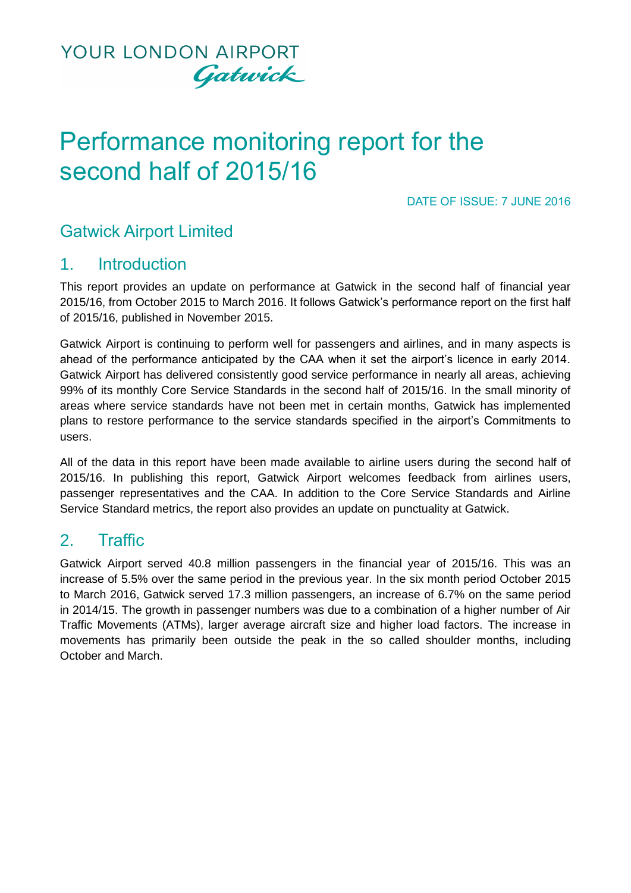

# Performance monitoring report for the second half of 2015/16

DATE OF ISSUE: 7 JUNE 2016

## Gatwick Airport Limited

### 1. Introduction

This report provides an update on performance at Gatwick in the second half of financial year 2015/16, from October 2015 to March 2016. It follows Gatwick's performance report on the first half of 2015/16, published in November 2015.

Gatwick Airport is continuing to perform well for passengers and airlines, and in many aspects is ahead of the performance anticipated by the CAA when it set the airport's licence in early 2014. Gatwick Airport has delivered consistently good service performance in nearly all areas, achieving 99% of its monthly Core Service Standards in the second half of 2015/16. In the small minority of areas where service standards have not been met in certain months, Gatwick has implemented plans to restore performance to the service standards specified in the airport's Commitments to users.

All of the data in this report have been made available to airline users during the second half of 2015/16. In publishing this report, Gatwick Airport welcomes feedback from airlines users, passenger representatives and the CAA. In addition to the Core Service Standards and Airline Service Standard metrics, the report also provides an update on punctuality at Gatwick.

### 2. Traffic

Gatwick Airport served 40.8 million passengers in the financial year of 2015/16. This was an increase of 5.5% over the same period in the previous year. In the six month period October 2015 to March 2016, Gatwick served 17.3 million passengers, an increase of 6.7% on the same period in 2014/15. The growth in passenger numbers was due to a combination of a higher number of Air Traffic Movements (ATMs), larger average aircraft size and higher load factors. The increase in movements has primarily been outside the peak in the so called shoulder months, including October and March.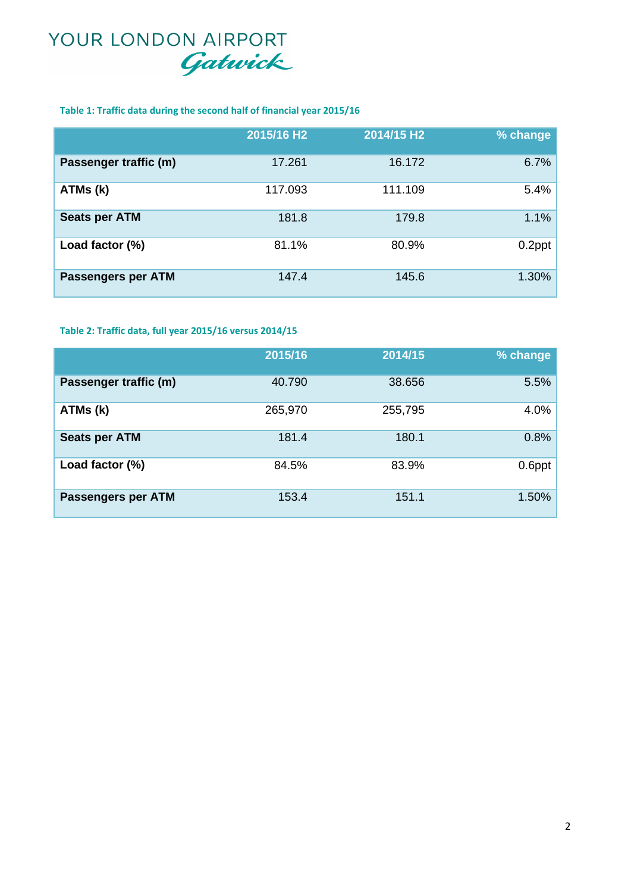#### **Table 1: Traffic data during the second half of financial year 2015/16**

|                           | 2015/16 H <sub>2</sub> | 2014/15 H2 | % change |
|---------------------------|------------------------|------------|----------|
| Passenger traffic (m)     | 17.261                 | 16.172     | 6.7%     |
| ATMs (k)                  | 117.093                | 111.109    | 5.4%     |
| <b>Seats per ATM</b>      | 181.8                  | 179.8      | 1.1%     |
| Load factor (%)           | 81.1%                  | 80.9%      | 0.2ppt   |
| <b>Passengers per ATM</b> | 147.4                  | 145.6      | 1.30%    |

#### **Table 2: Traffic data, full year 2015/16 versus 2014/15**

|                       | 2015/16 | 2014/15 | % change |
|-----------------------|---------|---------|----------|
| Passenger traffic (m) | 40.790  | 38.656  | 5.5%     |
| ATMs (k)              | 265,970 | 255,795 | 4.0%     |
| <b>Seats per ATM</b>  | 181.4   | 180.1   | 0.8%     |
| Load factor (%)       | 84.5%   | 83.9%   | 0.6ppt   |
| Passengers per ATM    | 153.4   | 151.1   | 1.50%    |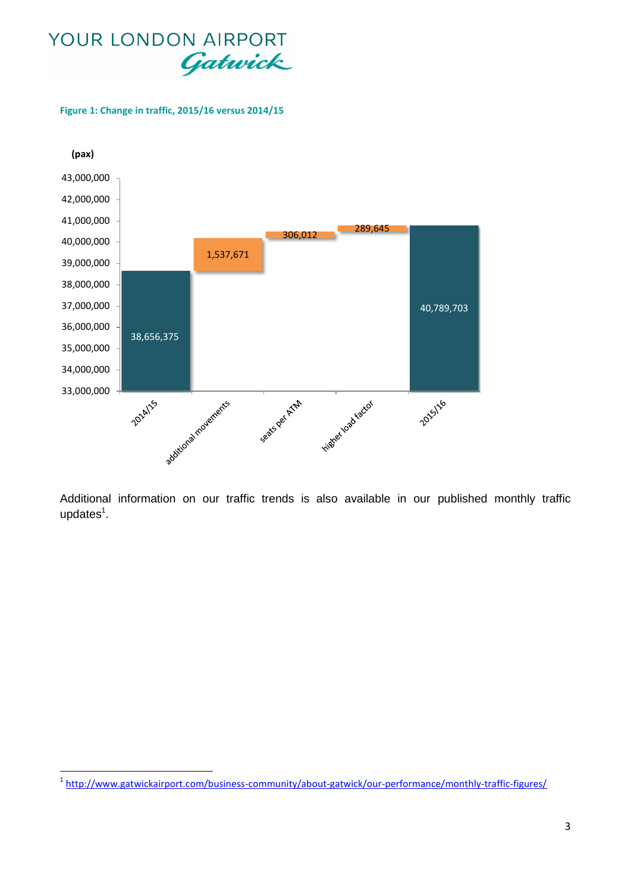**Figure 1: Change in traffic, 2015/16 versus 2014/15**

 $\overline{\phantom{a}}$ 



Additional information on our traffic trends is also available in our published monthly traffic  $updates<sup>1</sup>$ .

<sup>&</sup>lt;sup>1</sup> <http://www.gatwickairport.com/business-community/about-gatwick/our-performance/monthly-traffic-figures/>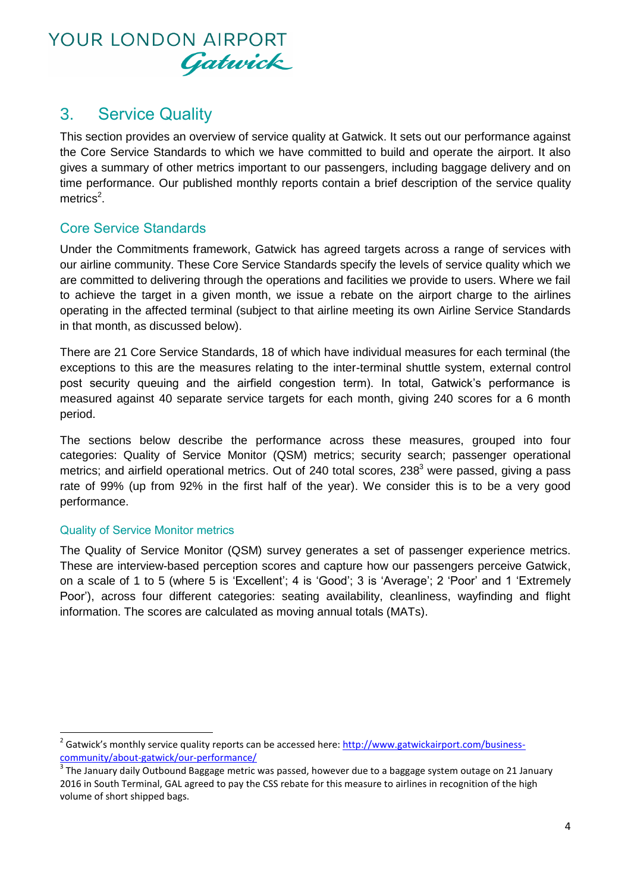

### 3. Service Quality

This section provides an overview of service quality at Gatwick. It sets out our performance against the Core Service Standards to which we have committed to build and operate the airport. It also gives a summary of other metrics important to our passengers, including baggage delivery and on time performance. Our published monthly reports contain a brief description of the service quality  $metrics<sup>2</sup>$ .

### Core Service Standards

Under the Commitments framework, Gatwick has agreed targets across a range of services with our airline community. These Core Service Standards specify the levels of service quality which we are committed to delivering through the operations and facilities we provide to users. Where we fail to achieve the target in a given month, we issue a rebate on the airport charge to the airlines operating in the affected terminal (subject to that airline meeting its own Airline Service Standards in that month, as discussed below).

There are 21 Core Service Standards, 18 of which have individual measures for each terminal (the exceptions to this are the measures relating to the inter-terminal shuttle system, external control post security queuing and the airfield congestion term). In total, Gatwick's performance is measured against 40 separate service targets for each month, giving 240 scores for a 6 month period.

The sections below describe the performance across these measures, grouped into four categories: Quality of Service Monitor (QSM) metrics; security search; passenger operational metrics; and airfield operational metrics. Out of 240 total scores,  $238<sup>3</sup>$  were passed, giving a pass rate of 99% (up from 92% in the first half of the year). We consider this is to be a very good performance.

#### Quality of Service Monitor metrics

**.** 

The Quality of Service Monitor (QSM) survey generates a set of passenger experience metrics. These are interview-based perception scores and capture how our passengers perceive Gatwick, on a scale of 1 to 5 (where 5 is 'Excellent'; 4 is 'Good'; 3 is 'Average'; 2 'Poor' and 1 'Extremely Poor'), across four different categories: seating availability, cleanliness, wayfinding and flight information. The scores are calculated as moving annual totals (MATs).

<sup>&</sup>lt;sup>2</sup> Gatwick's monthly service quality reports can be accessed here[: http://www.gatwickairport.com/business](http://www.gatwickairport.com/business-community/about-gatwick/our-performance/)[community/about-gatwick/our-performance/](http://www.gatwickairport.com/business-community/about-gatwick/our-performance/)

 $3$  The January daily Outbound Baggage metric was passed, however due to a baggage system outage on 21 January 2016 in South Terminal, GAL agreed to pay the CSS rebate for this measure to airlines in recognition of the high volume of short shipped bags.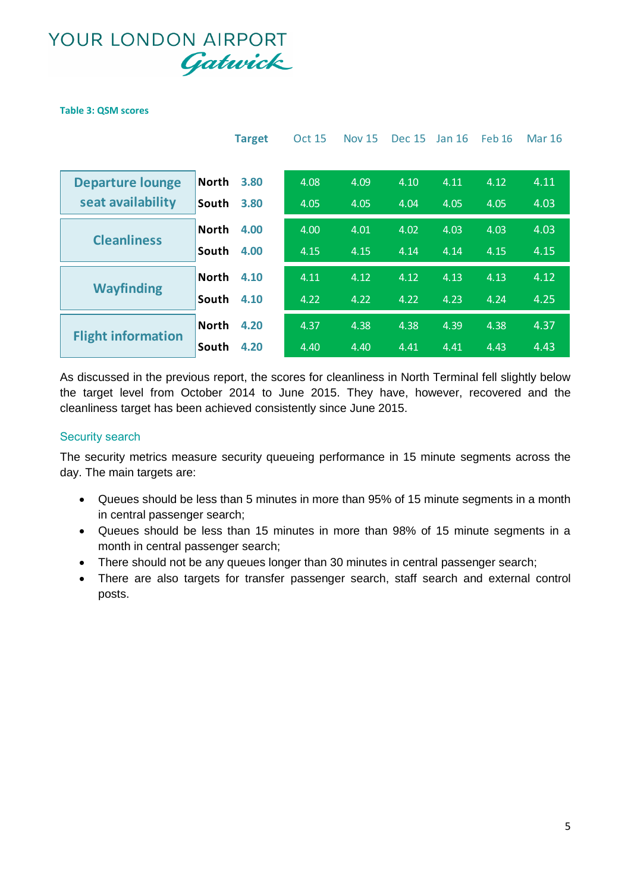#### **Table 3: QSM scores**

|                           | <b>Target</b>        | <b>Oct 15</b> | <b>Nov 15</b> | <b>Dec 15</b> | Jan 16 | <b>Feb 16</b> | <b>Mar 16</b> |
|---------------------------|----------------------|---------------|---------------|---------------|--------|---------------|---------------|
|                           |                      |               |               |               |        |               |               |
| <b>Departure lounge</b>   | <b>North</b><br>3.80 | 4.08          | 4.09          | 4.10          | 4.11   | 4.12          | 4.11          |
| seat availability         | 3.80<br>South        | 4.05          | 4.05          | 4.04          | 4.05   | 4.05          | 4.03          |
|                           | <b>North</b><br>4.00 | 4.00          | 4.01          | 4.02          | 4.03   | 4.03          | 4.03          |
| <b>Cleanliness</b>        | 4.00<br>South        | 4.15          | 4.15          | 4.14          | 4.14   | 4.15          | 4.15          |
|                           | <b>North</b><br>4.10 | 4.11          | 4.12          | 4.12          | 4.13   | 4.13          | 4.12          |
| <b>Wayfinding</b>         | South<br>4.10        | 4.22          | 4.22          | 4.22          | 4.23   | 4.24          | 4.25          |
|                           | <b>North</b><br>4.20 | 4.37          | 4.38          | 4.38          | 4.39   | 4.38          | 4.37          |
| <b>Flight information</b> | 4.20<br>South        | 4.40          | 4.40          | 4.41          | 4.41   | 4.43          | 4.43          |

As discussed in the previous report, the scores for cleanliness in North Terminal fell slightly below the target level from October 2014 to June 2015. They have, however, recovered and the cleanliness target has been achieved consistently since June 2015.

#### Security search

The security metrics measure security queueing performance in 15 minute segments across the day. The main targets are:

- Queues should be less than 5 minutes in more than 95% of 15 minute segments in a month in central passenger search;
- Queues should be less than 15 minutes in more than 98% of 15 minute segments in a month in central passenger search;
- There should not be any queues longer than 30 minutes in central passenger search;
- There are also targets for transfer passenger search, staff search and external control posts.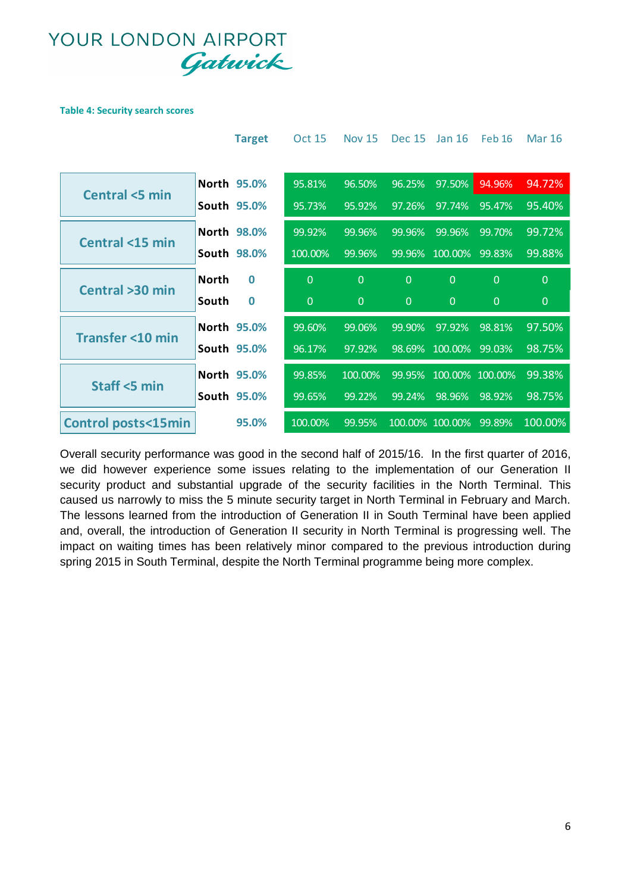#### **Table 4: Security search scores**

|                               | <b>Target</b>            | <b>Oct 15</b>  | <b>Nov 15</b>  | <b>Dec 15</b>  | Jan 16          | <b>Feb 16</b> | Mar 16   |
|-------------------------------|--------------------------|----------------|----------------|----------------|-----------------|---------------|----------|
|                               |                          |                |                |                |                 |               |          |
| <b>Central &lt;5 min</b>      | North 95.0%              | 95.81%         | 96.50%         | 96.25%         | 97.50%          | 94.96%        | 94.72%   |
|                               | South 95.0%              | 95.73%         | 95.92%         | 97.26%         | 97.74%          | 95.47%        | 95.40%   |
| <b>Central &lt;15 min</b>     | North 98.0%              | 99.92%         | 99.96%         | 99.96%         | 99.96%          | 99.70%        | 99.72%   |
|                               | South 98.0%              | 100.00%        | 99.96%         | 99.96%         | 100.00%         | 99.83%        | 99.88%   |
| Central >30 min               | <b>North</b><br>$\Omega$ | $\overline{0}$ | $\Omega$       | $\overline{0}$ | $\overline{0}$  | $\Omega$      | $\Omega$ |
|                               | South<br>$\bf{0}$        | $\overline{0}$ | $\overline{0}$ | $\Omega$       | $\Omega$        | $\Omega$      | $\Omega$ |
| <b>Transfer &lt;10 min</b>    | North 95.0%              | 99.60%         | 99.06%         | 99.90%         | 97.92%          | 98.81%        | 97.50%   |
|                               | South 95.0%              | 96.17%         | 97.92%         | 98.69%         | 100.00%         | 99.03%        | 98.75%   |
| Staff <5 min                  | North 95.0%              | 99.85%         | 100.00%        | 99.95%         | 100.00% 100.00% |               | 99.38%   |
|                               | South 95.0%              | 99.65%         | 99.22%         | 99.24%         | 98.96%          | 98.92%        | 98.75%   |
| <b>Control posts&lt;15min</b> | 95.0%                    | 100.00%        | 99.95%         |                | 100.00% 100.00% | 99.89%        | 100.00%  |

Overall security performance was good in the second half of 2015/16. In the first quarter of 2016, we did however experience some issues relating to the implementation of our Generation II security product and substantial upgrade of the security facilities in the North Terminal. This caused us narrowly to miss the 5 minute security target in North Terminal in February and March. The lessons learned from the introduction of Generation II in South Terminal have been applied and, overall, the introduction of Generation II security in North Terminal is progressing well. The impact on waiting times has been relatively minor compared to the previous introduction during spring 2015 in South Terminal, despite the North Terminal programme being more complex.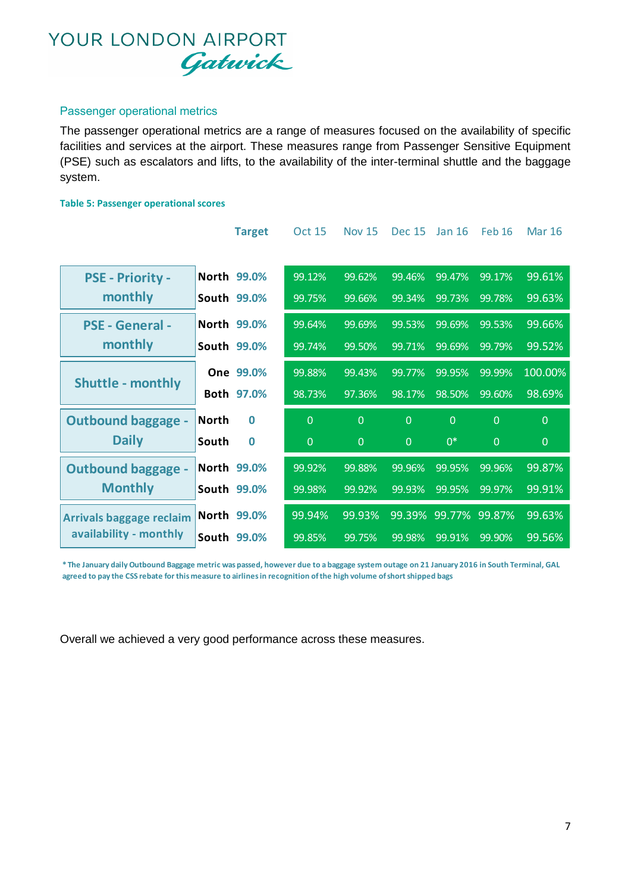#### Passenger operational metrics

The passenger operational metrics are a range of measures focused on the availability of specific facilities and services at the airport. These measures range from Passenger Sensitive Equipment (PSE) such as escalators and lifts, to the availability of the inter-terminal shuttle and the baggage system.

#### **Table 5: Passenger operational scores**

|                                 | <b>Target</b>     | <b>Oct 15</b>  | <b>Nov 15</b> | <b>Dec 15</b>  | <b>Jan 16</b> | <b>Feb 16</b>  | <b>Mar 16</b>  |
|---------------------------------|-------------------|----------------|---------------|----------------|---------------|----------------|----------------|
|                                 |                   |                |               |                |               |                |                |
| PSE - Priority -                | North 99.0%       | 99.12%         | 99.62%        | 99.46%         | 99.47%        | 99.17%         | 99.61%         |
| monthly                         | South 99.0%       | 99.75%         | 99.66%        | 99.34%         | 99.73%        | 99.78%         | 99.63%         |
| <b>PSE - General -</b>          | North 99.0%       | 99.64%         | 99.69%        | 99.53%         | 99.69%        | 99.53%         | 99.66%         |
| monthly                         | South 99.0%       | 99.74%         | 99.50%        | 99.71%         | 99.69%        | 99.79%         | 99.52%         |
|                                 | One 99.0%         | 99.88%         | 99.43%        | 99.77%         | 99.95%        | 99.99%         | 100.00%        |
| <b>Shuttle - monthly</b>        | Both 97.0%        | 98.73%         | 97.36%        | 98.17%         | 98.50%        | 99.60%         | 98.69%         |
| <b>Outbound baggage -</b>       | North<br>$\Omega$ | $\overline{0}$ | $\Omega$      | $\overline{0}$ | $\Omega$      | $\overline{0}$ | $\Omega$       |
| <b>Daily</b>                    | South<br>$\bf{0}$ | $\overline{0}$ | $\Omega$      | $\overline{0}$ | $0*$          | $\Omega$       | $\overline{0}$ |
| <b>Outbound baggage -</b>       | North 99.0%       | 99.92%         | 99.88%        | 99.96%         | 99.95%        | 99.96%         | 99.87%         |
| <b>Monthly</b>                  | South 99.0%       | 99.98%         | 99.92%        | 99.93%         | 99.95%        | 99.97%         | 99.91%         |
| <b>Arrivals baggage reclaim</b> | North 99.0%       | 99.94%         | 99.93%        | 99.39%         | 99.77%        | 99.87%         | 99.63%         |
| availability - monthly          | South 99.0%       | 99.85%         | 99.75%        | 99.98%         | 99.91%        | 99.90%         | 99.56%         |

**\* The January daily Outbound Baggage metric was passed, however due to a baggage system outage on 21 January 2016 in South Terminal, GAL agreed to pay the CSS rebate for this measure to airlines in recognition of the high volume of short shipped bags**

Overall we achieved a very good performance across these measures.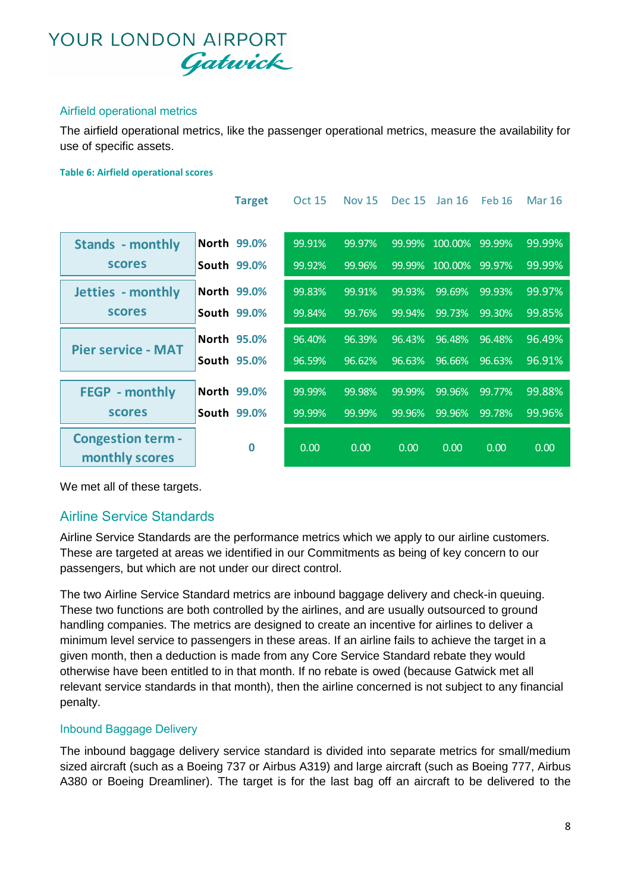#### Airfield operational metrics

The airfield operational metrics, like the passenger operational metrics, measure the availability for use of specific assets.

#### **Table 6: Airfield operational scores**

|                                            | <b>Target</b>      | <b>Oct 15</b> | <b>Nov 15</b> | <b>Dec 15</b> | Jan $16$       | Feb 16    | <b>Mar 16</b> |
|--------------------------------------------|--------------------|---------------|---------------|---------------|----------------|-----------|---------------|
| <b>Stands - monthly</b>                    | North 99.0%        | 99.91%        | 99.97%        | 99.99%        | 100.00%        | $99.99\%$ | 99.99%        |
| <b>scores</b>                              | South 99.0%        | 99.92%        | 99.96%        |               | 99.99% 100.00% | 99.97%    | 99.99%        |
| Jetties - monthly                          | North 99.0%        | 99.83%        | 99.91%        | 99.93%        | 99.69%         | 99.93%    | 99.97%        |
| <b>scores</b>                              | South 99.0%        | 99.84%        | 99.76%        | 99.94%        | 99.73%         | 99.30%    | 99.85%        |
| <b>Pier service - MAT</b>                  | <b>North 95.0%</b> | 96.40%        | 96.39%        | 96.43%        | 96.48%         | 96.48%    | 96.49%        |
|                                            | South 95.0%        | 96.59%        | 96.62%        | 96.63%        | 96.66%         | 96.63%    | 96.91%        |
| <b>FEGP</b> - monthly                      | North 99.0%        | 99.99%        | 99.98%        | 99.99%        | 99.96%         | 99.77%    | 99.88%        |
| <b>scores</b>                              | South 99.0%        | 99.99%        | 99.99%        | 99.96%        | 99.96%         | 99.78%    | 99.96%        |
| <b>Congestion term -</b><br>monthly scores | 0                  | 0.00          | 0.00          | 0.00          | 0.00           | 0.00      | 0.00          |

We met all of these targets.

### Airline Service Standards

Airline Service Standards are the performance metrics which we apply to our airline customers. These are targeted at areas we identified in our Commitments as being of key concern to our passengers, but which are not under our direct control.

The two Airline Service Standard metrics are inbound baggage delivery and check-in queuing. These two functions are both controlled by the airlines, and are usually outsourced to ground handling companies. The metrics are designed to create an incentive for airlines to deliver a minimum level service to passengers in these areas. If an airline fails to achieve the target in a given month, then a deduction is made from any Core Service Standard rebate they would otherwise have been entitled to in that month. If no rebate is owed (because Gatwick met all relevant service standards in that month), then the airline concerned is not subject to any financial penalty.

#### Inbound Baggage Delivery

The inbound baggage delivery service standard is divided into separate metrics for small/medium sized aircraft (such as a Boeing 737 or Airbus A319) and large aircraft (such as Boeing 777, Airbus A380 or Boeing Dreamliner). The target is for the last bag off an aircraft to be delivered to the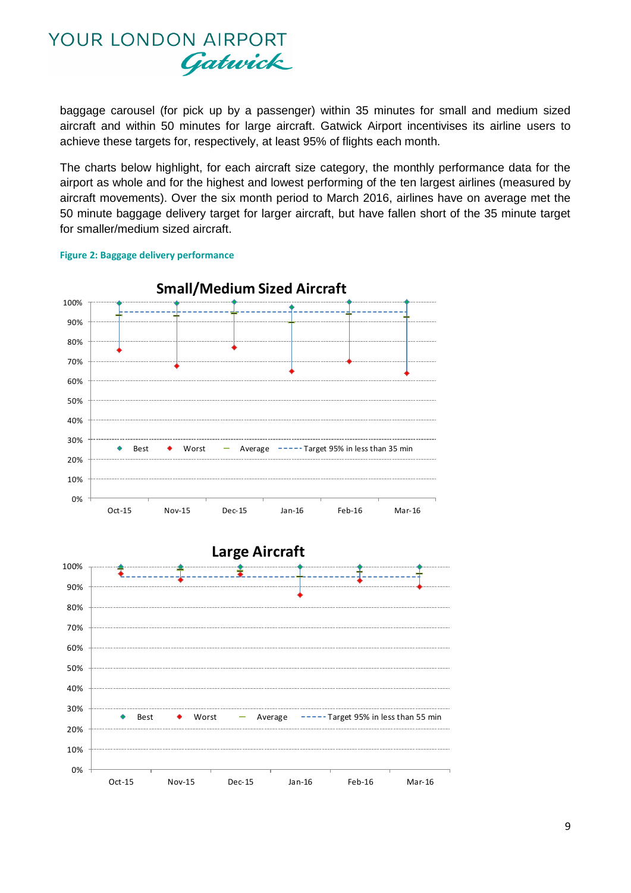

baggage carousel (for pick up by a passenger) within 35 minutes for small and medium sized aircraft and within 50 minutes for large aircraft. Gatwick Airport incentivises its airline users to achieve these targets for, respectively, at least 95% of flights each month.

The charts below highlight, for each aircraft size category, the monthly performance data for the airport as whole and for the highest and lowest performing of the ten largest airlines (measured by aircraft movements). Over the six month period to March 2016, airlines have on average met the 50 minute baggage delivery target for larger aircraft, but have fallen short of the 35 minute target for smaller/medium sized aircraft.



#### **Figure 2: Baggage delivery performance**

40% 30%  $\ddot{\bullet}$ Best  $\bullet$  Worst  $\bullet$  Average  $\bullet$ - $\bullet$ -Target 95% in less than 55 min 20% -<br>0%<br>0% 10% Oct-15 Nov-15 Dec-15 Jan-16 Feb-16 Mar-16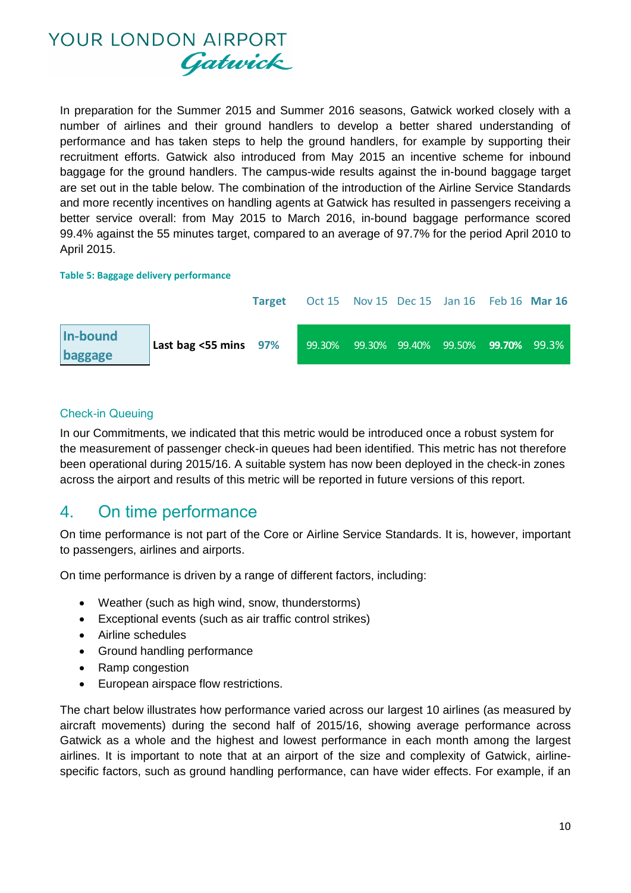

In preparation for the Summer 2015 and Summer 2016 seasons, Gatwick worked closely with a number of airlines and their ground handlers to develop a better shared understanding of performance and has taken steps to help the ground handlers, for example by supporting their recruitment efforts. Gatwick also introduced from May 2015 an incentive scheme for inbound baggage for the ground handlers. The campus-wide results against the in-bound baggage target are set out in the table below. The combination of the introduction of the Airline Service Standards and more recently incentives on handling agents at Gatwick has resulted in passengers receiving a better service overall: from May 2015 to March 2016, in-bound baggage performance scored 99.4% against the 55 minutes target, compared to an average of 97.7% for the period April 2010 to April 2015.

#### **Table 5: Baggage delivery performance**



#### Check-in Queuing

In our Commitments, we indicated that this metric would be introduced once a robust system for the measurement of passenger check-in queues had been identified. This metric has not therefore been operational during 2015/16. A suitable system has now been deployed in the check-in zones across the airport and results of this metric will be reported in future versions of this report.

### 4. On time performance

On time performance is not part of the Core or Airline Service Standards. It is, however, important to passengers, airlines and airports.

On time performance is driven by a range of different factors, including:

- Weather (such as high wind, snow, thunderstorms)
- Exceptional events (such as air traffic control strikes)
- Airline schedules
- Ground handling performance
- Ramp congestion
- European airspace flow restrictions.

The chart below illustrates how performance varied across our largest 10 airlines (as measured by aircraft movements) during the second half of 2015/16, showing average performance across Gatwick as a whole and the highest and lowest performance in each month among the largest airlines. It is important to note that at an airport of the size and complexity of Gatwick, airlinespecific factors, such as ground handling performance, can have wider effects. For example, if an